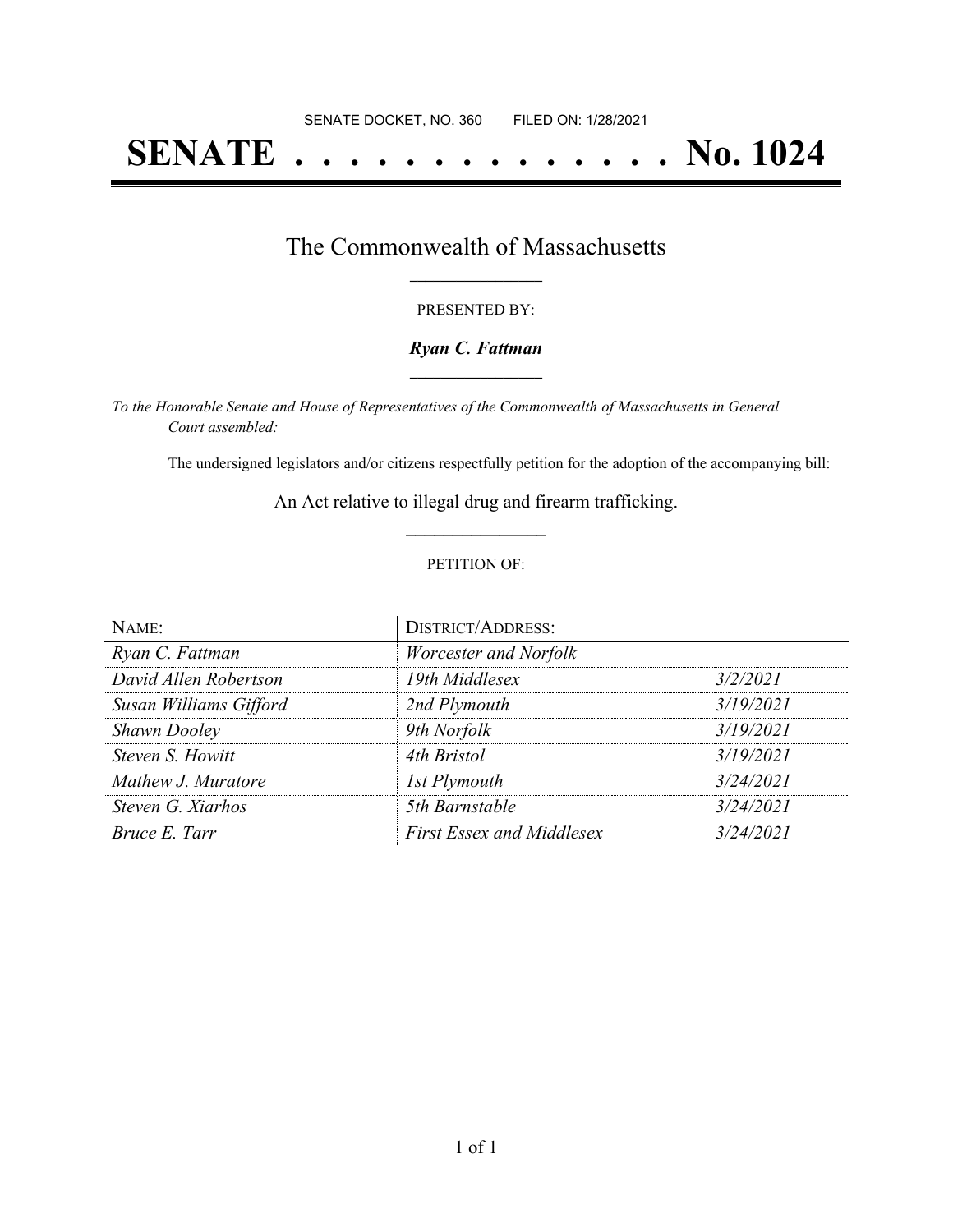# **SENATE . . . . . . . . . . . . . . No. 1024**

## The Commonwealth of Massachusetts **\_\_\_\_\_\_\_\_\_\_\_\_\_\_\_\_\_**

#### PRESENTED BY:

#### *Ryan C. Fattman* **\_\_\_\_\_\_\_\_\_\_\_\_\_\_\_\_\_**

*To the Honorable Senate and House of Representatives of the Commonwealth of Massachusetts in General Court assembled:*

The undersigned legislators and/or citizens respectfully petition for the adoption of the accompanying bill:

An Act relative to illegal drug and firearm trafficking. **\_\_\_\_\_\_\_\_\_\_\_\_\_\_\_**

#### PETITION OF:

| NAME:                  | <b>DISTRICT/ADDRESS:</b>         |           |
|------------------------|----------------------------------|-----------|
| Ryan C. Fattman        | Worcester and Norfolk            |           |
| David Allen Robertson  | 19th Middlesex                   | 3/2/2021  |
| Susan Williams Gifford | 2nd Plymouth                     | 3/19/2021 |
| <b>Shawn Dooley</b>    | 9th Norfolk                      | 3/19/2021 |
| Steven S. Howitt       | 4th Bristol                      | 3/19/2021 |
| Mathew J. Muratore     | 1st Plymouth                     | 3/24/2021 |
| Steven G. Xiarhos      | 5th Barnstable                   | 3/24/2021 |
| Bruce E. Tarr          | <b>First Essex and Middlesex</b> | 3/24/2021 |